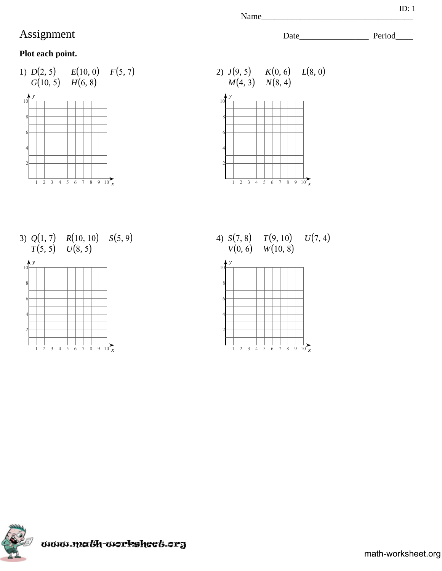## **Plot each point.**





3)  $Q(1, 7)$   $R(10, 10)$   $S(5, 9)$ <br> $T(5, 5)$   $U(8, 5)$  $T(5, 5)$   $U(8, 5)$ 



4)  $S(7, 8)$   $T(9, 10)$  $V(0, 6)$   $W(10, 8)$  $U(7, 4)$ 





Name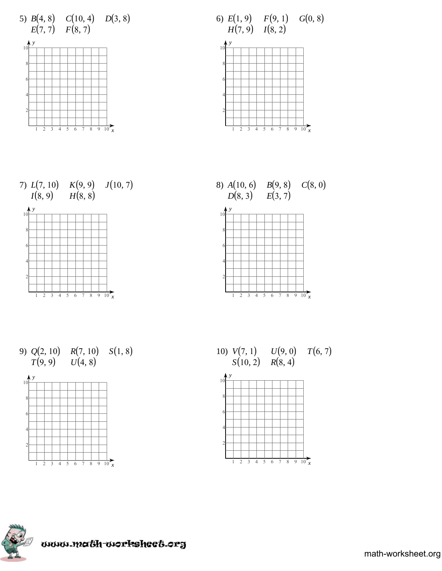









9)  $Q(2, 10)$   $R(7, 10)$   $S(1, 8)$  $T(9, 9)$   $U(4, 8)$ 







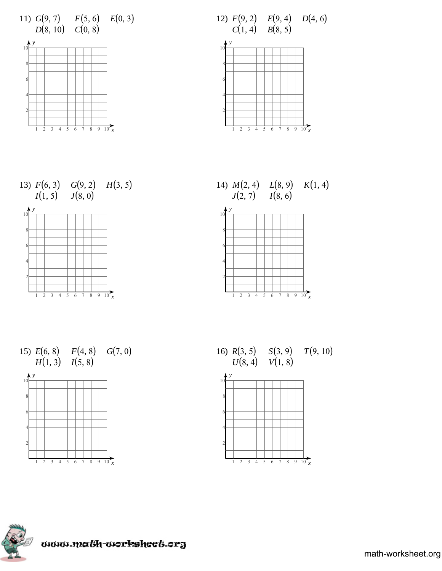

















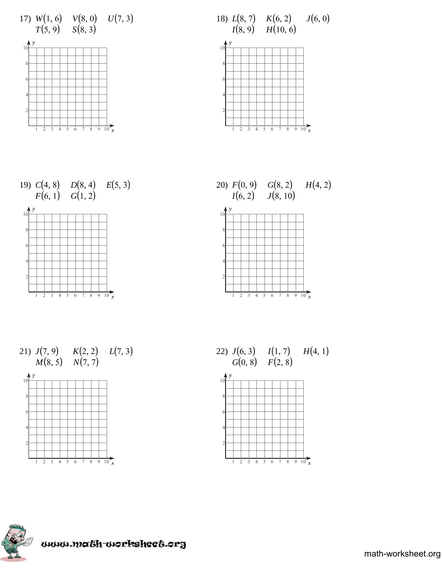

















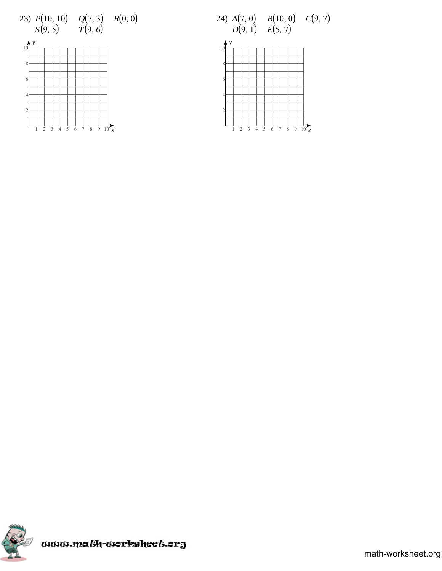





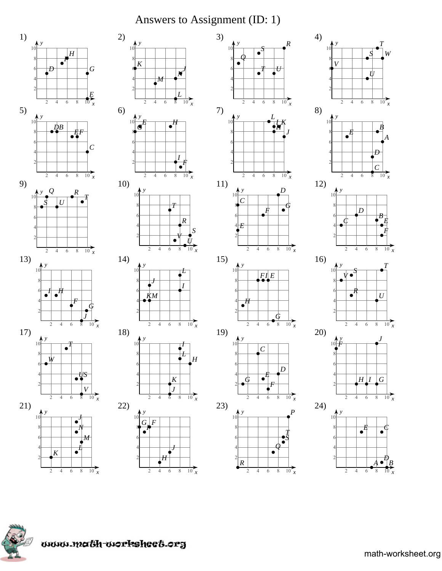## Answers to Assignment (ID: 1)







 $\frac{1}{10}$  x

 $\overline{2}$  $\overline{4}$  $\overline{6}$  $\sqrt{8}$ 



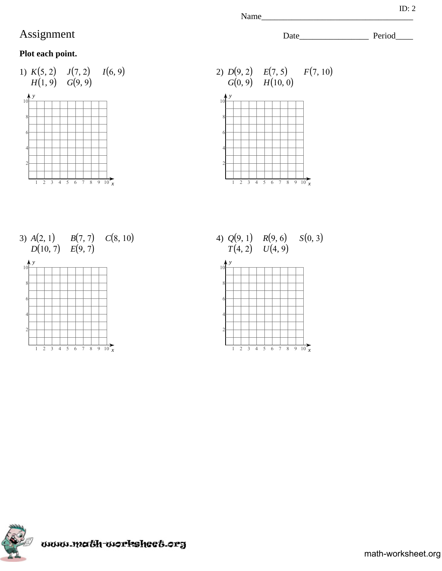## **Plot each point.**





3)  $A(2, 1)$   $B(7, 7)$   $C(8, 10)$  $D(10, 7)$   $E(9, 7)$ 



4)  $Q(9, 1)$   $R(9, 6)$   $S(0, 3)$  $T(4, 2)$   $U(4, 9)$ 





Name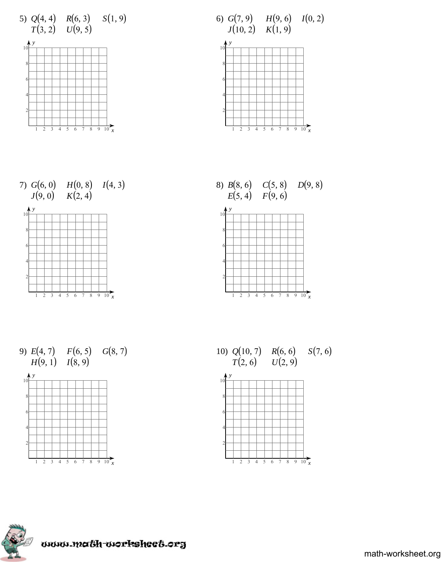









9)  $E(4, 7)$   $F(6, 5)$   $G(8, 7)$  $H(9, 1)$   $I(8, 9)$ 







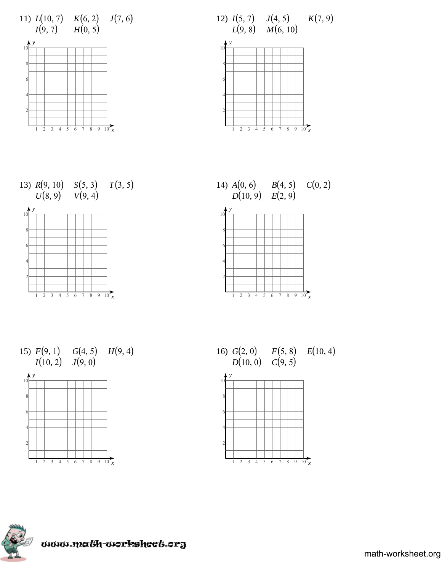

















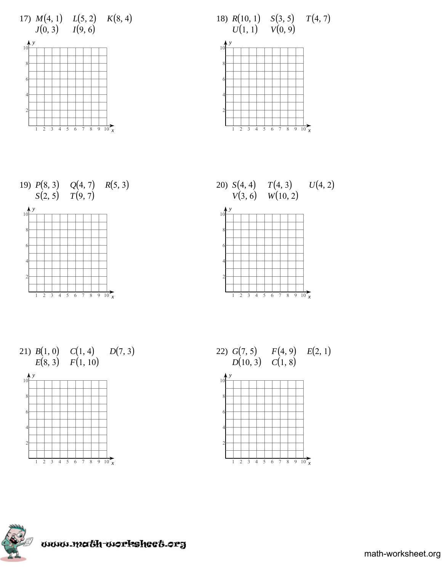









21)  $B(1, 0)$  $E(8, 3)$  $C(1, 4)$  $F(1, 10)$  $D(7, 3)$ 







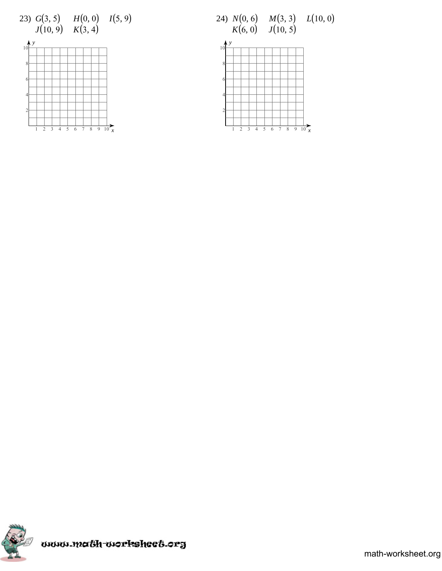





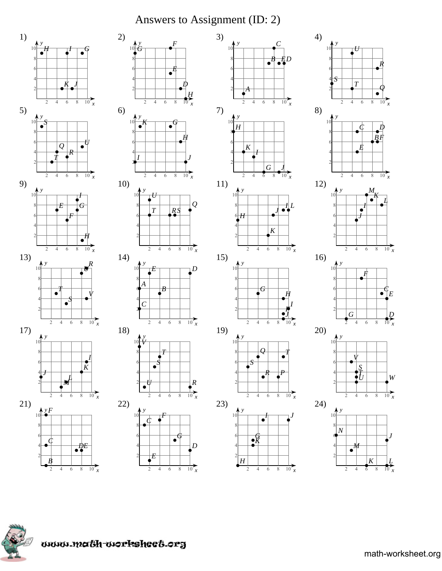# Answers to Assignment (ID: 2)







 $\overline{H}$ 

 $\overline{2}$ 

 $\overline{4}$  $\overline{6}$  $\sqrt{8}$   $\frac{1}{10}$  x

 $\frac{1}{10}$ 

 $\overline{2}$  $\overline{4}$  $6\,$  $\sqrt{8}$ 



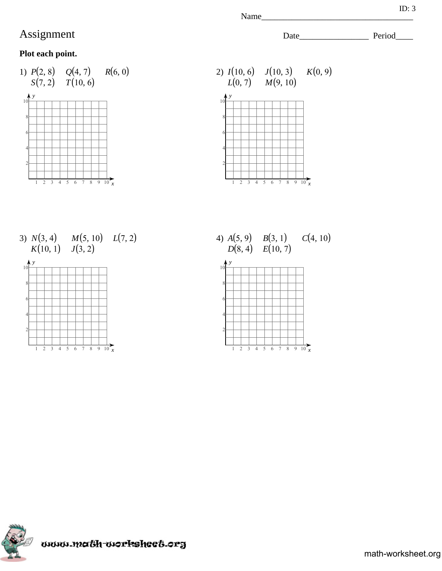## **Plot each point.**





Name

3)  $N(3, 4)$   $M(5, 10)$   $L(7, 2)$ <br> $K(10, 1)$   $J(3, 2)$  $K(10, 1)$ 



4)  $A(5, 9)$   $B(3, 1)$  $D(8, 4)$   $E(10, 7)$  $C(4, 10)$ 



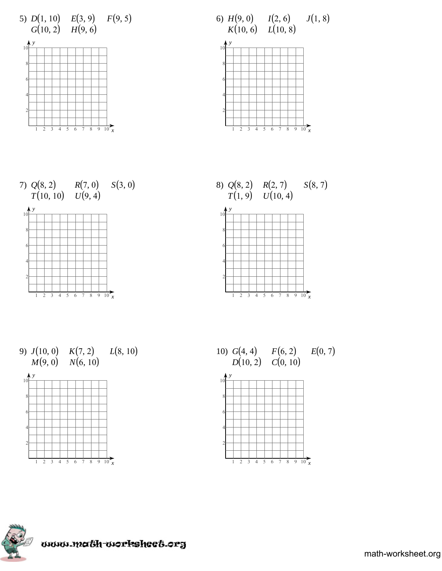

















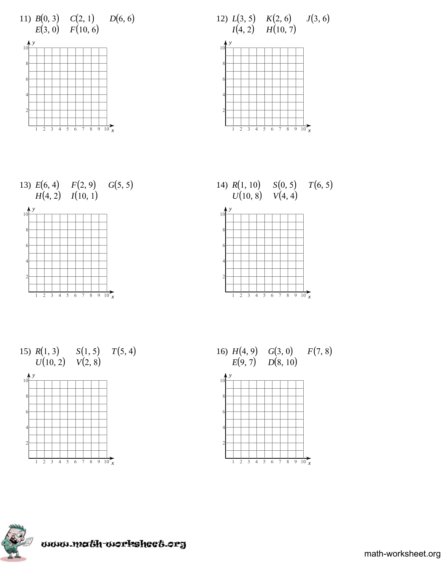

















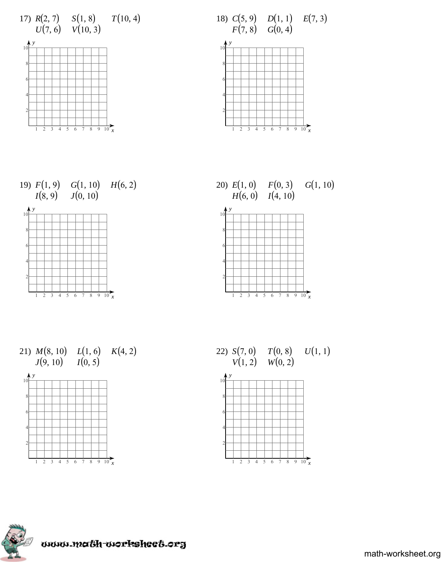



















math-worksheet.org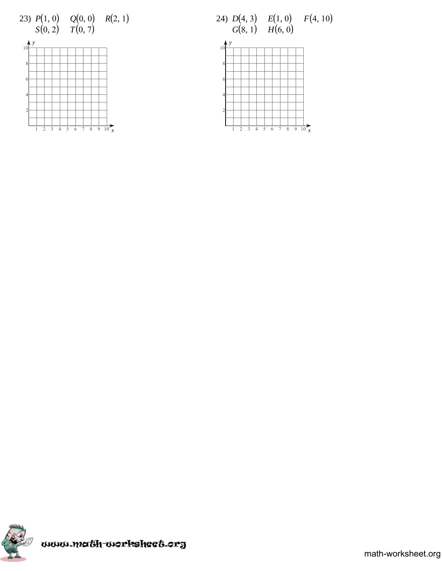





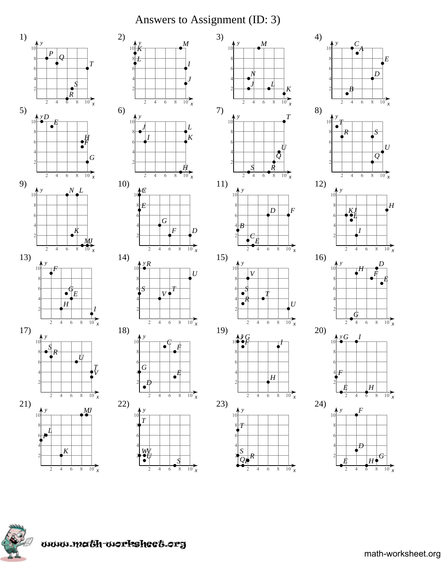# Answers to Assignment (ID: 3)

 $\overline{M}$ 

5  $\overline{4}$  $\overline{6}$  $\overline{8}$ 

 $\overline{2}$ 

 $\mathbf{v}$ 

 $\overline{B}$ 

 $\overline{4}$ 6  $\,8\,$ 

Ė

 $\overline{4}$ 

 $\overline{V}$ 

 $\bullet$  $\bullet$ 

> $\overline{c}$  $\overline{4}$  $\sqrt{6}$

 $\overline{2}$  $\overline{4}$  $\overline{6}$ 

 $\overline{S}$ 

 $\overline{2}$  $\overline{4}$  $\overline{6}$  $\sqrt{8}$ 

 $\boldsymbol{I}$ 

 $\overline{D}$ 

 $\sqrt{6}$ 

 $\boxed{H}$ 

 $\frac{1}{10}$  x

 $\overline{2}$  $\overline{4}$   $\overline{8}$ 







 $\overline{E}$ 

 $U$ 

 $\overline{H}$ 

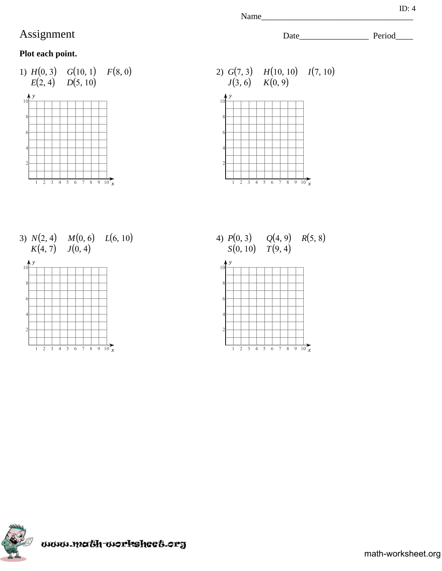## **Plot each point.**





3)  $N(2, 4)$   $M(0, 6)$   $L(6, 10)$ 



4)  $P(0, 3)$   $Q(4, 9)$   $R(5, 8)$  $S(0, 10)$   $T(9, 4)$ 





math-worksheet.org

Name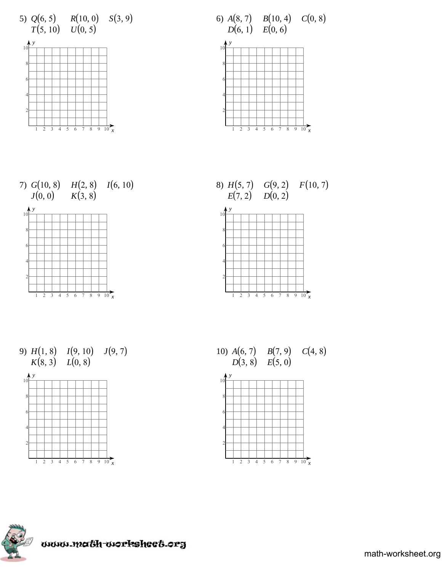









9)  $H(1, 8)$   $I(9, 10)$   $J(9, 7)$  $K(8, 3)$   $L(0, 8)$ 







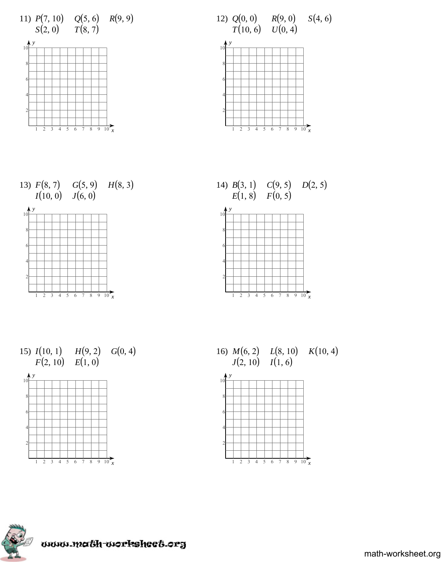









15)  $I(10, 1)$   $H(9, 2)$   $G(0, 4)$  $F(2, 10)$   $E(1, 0)$ 



16)  $M(6, 2)$   $L(8, 10)$   $K(10, 4)$ <br> $J(2, 10)$   $I(1, 6)$  $J(2, 10)$   $I(1, 6)$ 



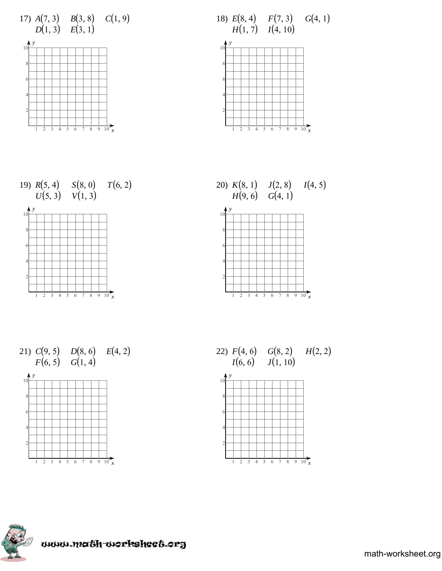









21)  $C(9, 5)$  $F(6, 5)$  $D(8, 6)$  $G(1, 4)$  $E(4, 2)$ 







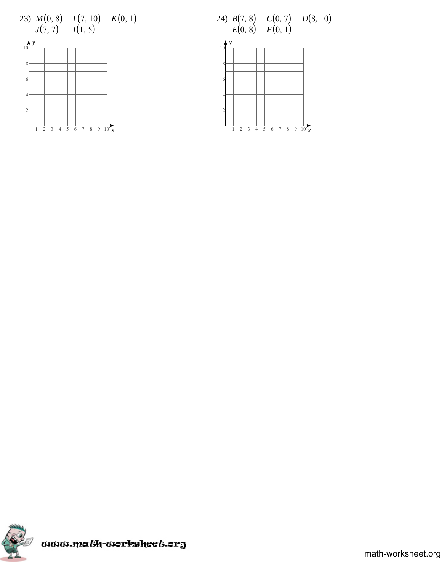





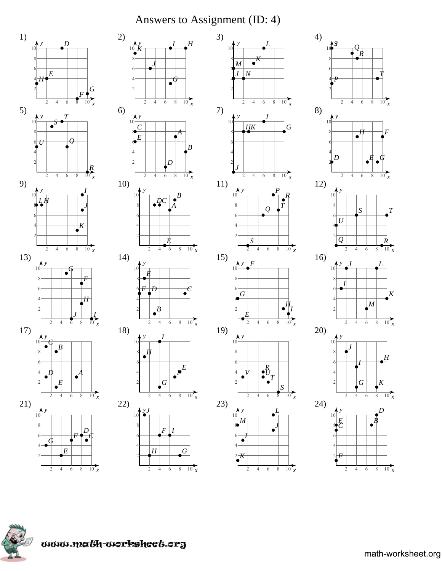# Answers to Assignment (ID: 4)







 $\frac{1}{10}$ 

 $\overline{2}$  $\overline{4}$  $\overline{6}$  $\sqrt{8}$ 



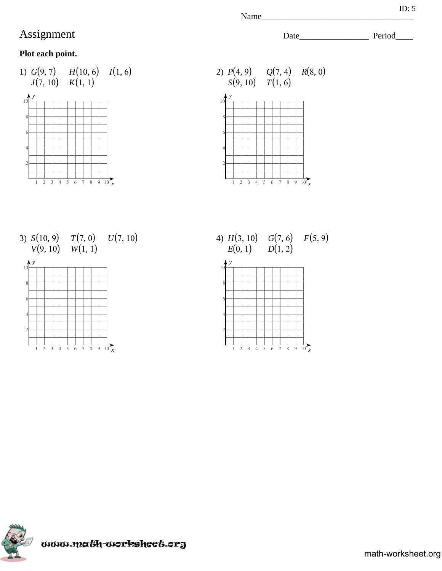## **Plot each point.**





3)  $S(10, 9)$   $T(7, 0)$  $V(9, 10)$  $W(1, 1)$  $U(7, 10)$ 



4)  $H(3, 10)$   $G(7, 6)$   $F(5, 9)$  $E(0, 1)$   $G(7, 6)$ <br> $E(0, 1)$   $D(1, 2)$ 





Name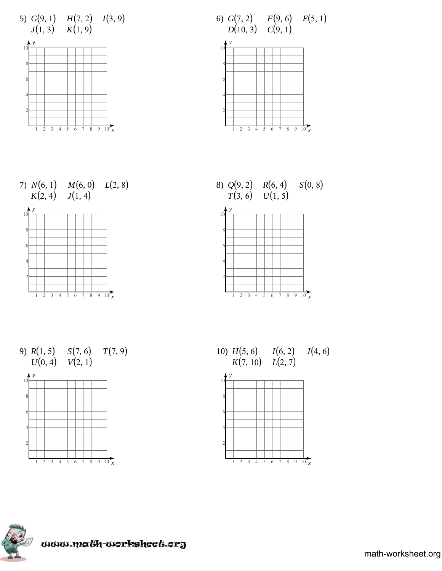









9)  $R(1, 5)$   $S(7, 6)$   $T(7, 9)$  $U(0, 4)$   $V(2, 1)$ 



10)  $H(5, 6)$  $K(7, 10)$  $I(6, 2)$ *L*(2, 7)  $J(4, 6)$ 



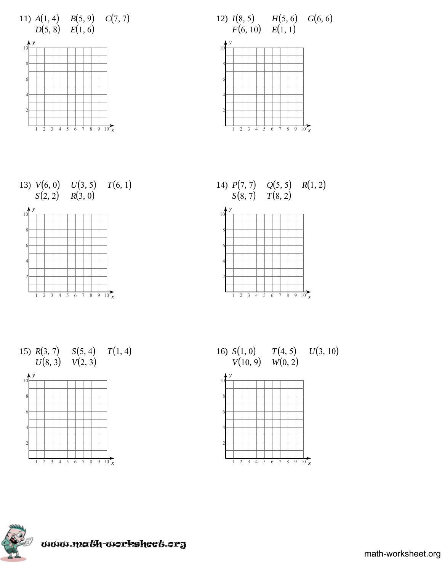













16) *S*(1, 0)  $V(10, 9)$  $T(4, 5)$  $W(0, 2)$  $U(3, 10)$ 



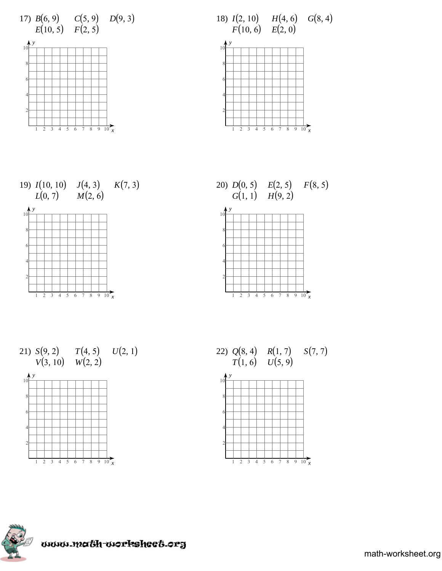





















math-worksheet.org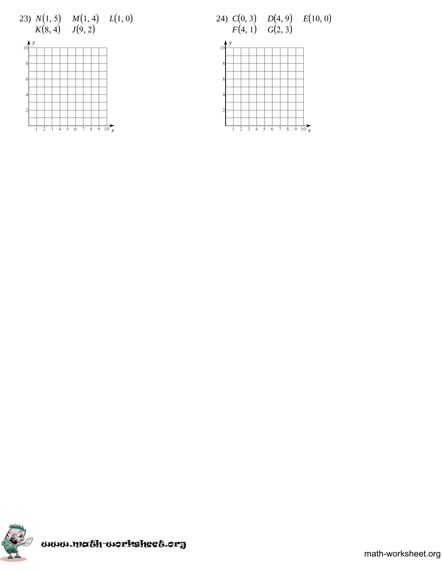





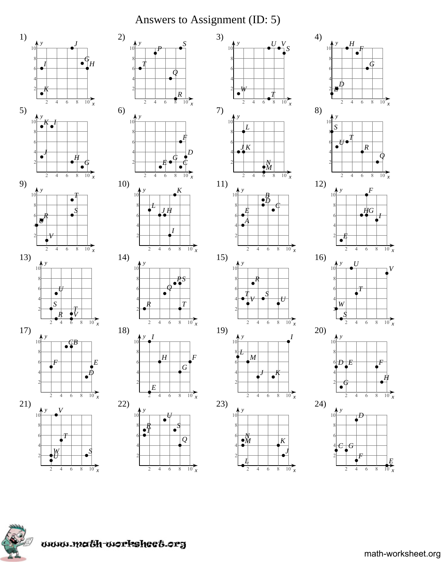# Answers to Assignment (ID: 5)

 $U$  V

 $\frac{1}{10}$ 

 $\frac{1}{10}$ 

 $\frac{1}{10}$  x

 $\frac{1}{10}$  x

 $\frac{1}{10}$ 

 $8$ 

 $\sqrt{6}$ 

 $\sqrt{6}$  $\,$   $\,$ 

 $\bullet$ 

 $\overline{6}$ 

 $\overline{2}$  $\overline{4}$  $\overline{6}$  $\,8\,$ 

 $\overline{8}$ 

 $\overline{K}$ 

 $\frac{1}{10}$  x

 $\overline{6}$  $\overline{8}$ 

 $\frac{1}{2}M$ 

 $\overline{8}$ 









www.math-worksheet.org

 $\overline{2}$ 

 $\overline{4}$  $6\,$  $\sqrt{8}$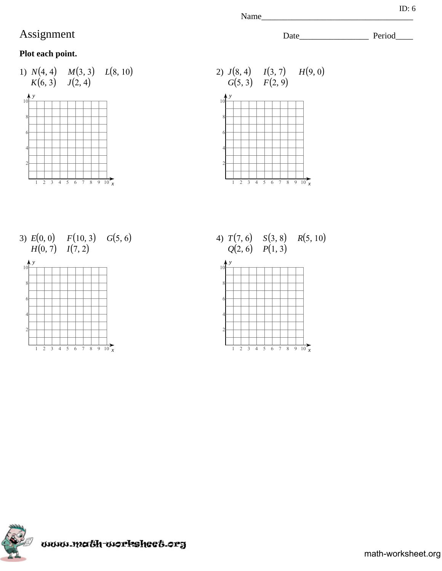## **Plot each point.**





3)  $E(0, 0)$   $F(10, 3)$   $G(5, 6)$ <br> $H(0, 7)$   $I(7, 2)$  $H(0, 7)$   $I(7, 2)$ 



4)  $T(7, 6)$   $S(3, 8)$   $R(5, 10)$  $Q(2, 6)$   $P(1, 3)$ 





Name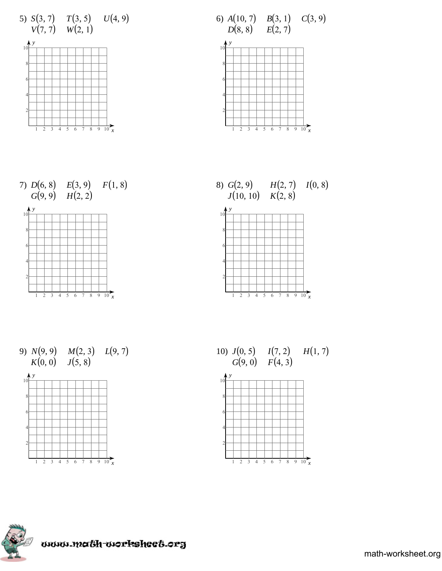









9)  $N(9, 9)$   $M(2, 3)$   $L(9, 7)$  $K(0, 0)$   $J(5, 8)$ 



10)  $J(0, 5)$  $G(9, 0)$  $I(7, 2)$  $F(4, 3)$  $H(1, 7)$ 





www.math-worksheet.org

math-worksheet.org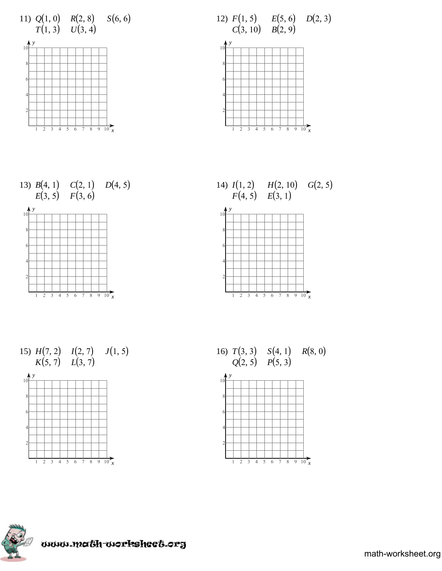

















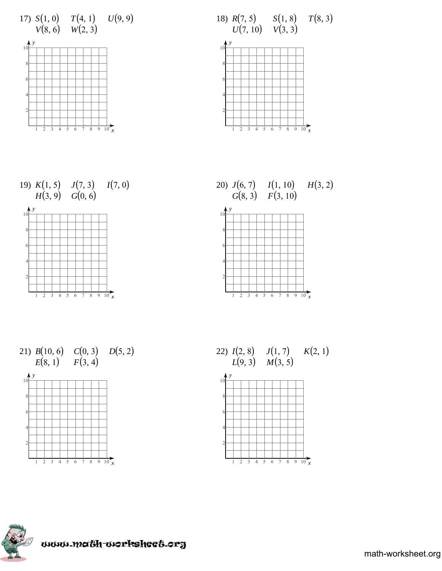



















math-worksheet.org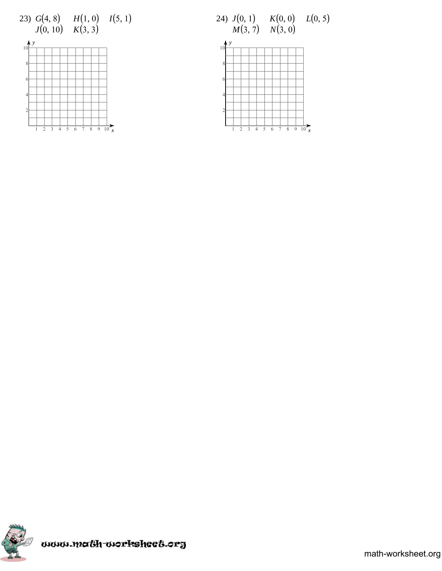





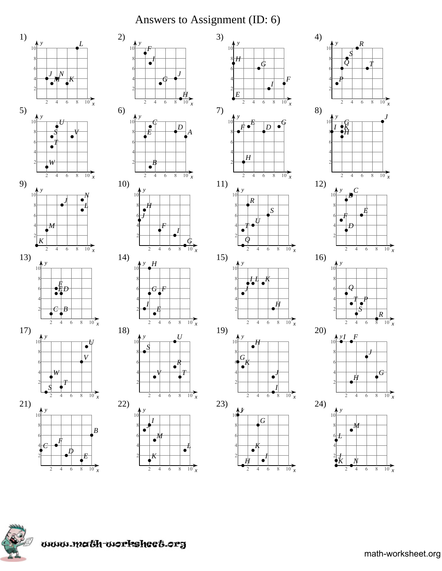## Answers to Assignment (ID: 6)

 $2)$ 

 $6)$ 

 $10)$ 

 $14)$ 

18)

 $(22)$ 

 $\overline{2}$  $\overline{4}$  $\overline{6}$  $\sqrt{8}$ 





 $\frac{1}{10}$   $\frac{x}{}$ 

 $\frac{1}{10}$  x

 $\overline{2}$  $\overline{4}$  $\overline{6}$  $\,8\,$ 



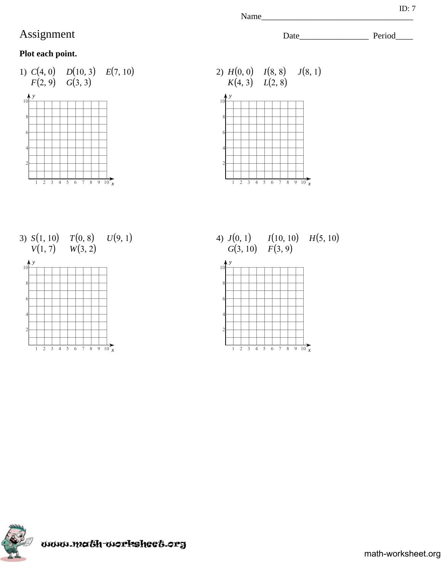## **Plot each point.**







4)  $J(0, 1)$   $I(10, 10)$   $H(5, 10)$ <br> $G(3, 10)$   $F(3, 9)$  $G(3, 10)$   $F(3, 9)$ 





Name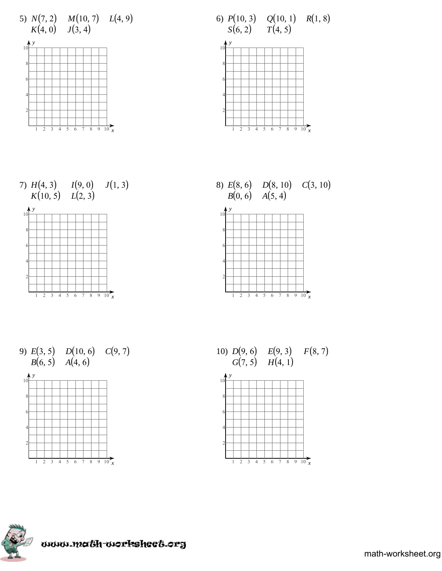

6)  $P(10, 3)$   $Q(10, 1)$   $R(1, 8)$  $S(6, 2)$   $T(4, 5)$ 







9)  $E(3, 5)$   $D(10, 6)$   $C(9, 7)$  $B(6, 5)$   $A(4, 6)$ 



10)  $D(9, 6)$   $E(9, 3)$   $F(8, 7)$  $G(7, 5)$   $H(4, 1)$ 



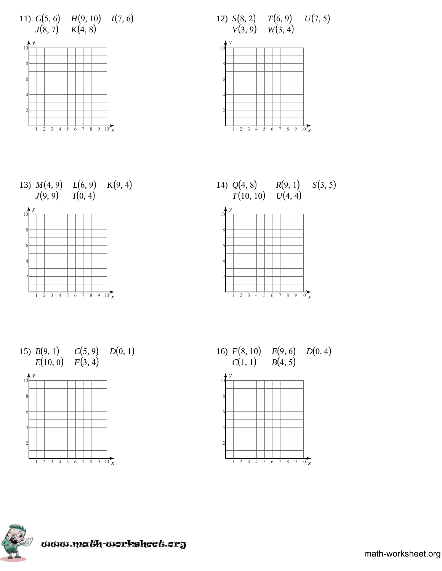



















math-worksheet.org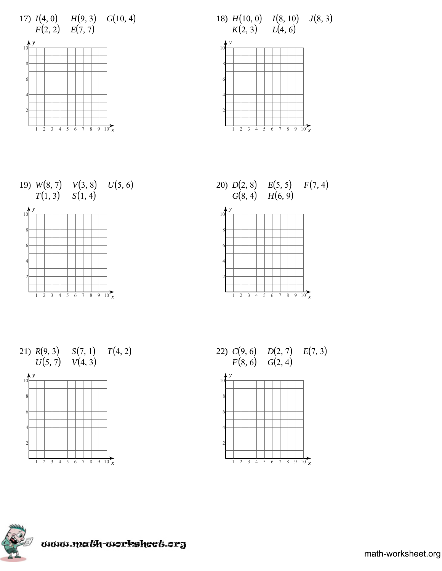





















math-worksheet.org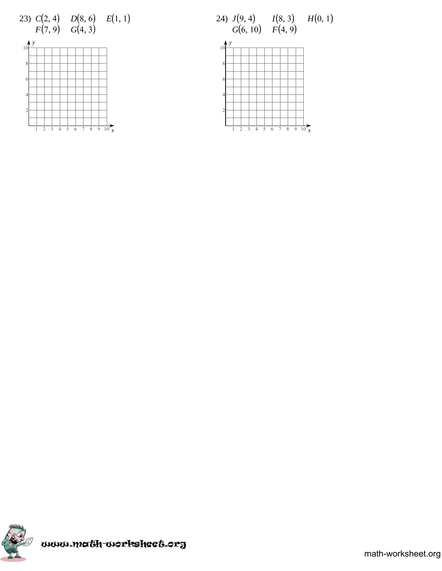





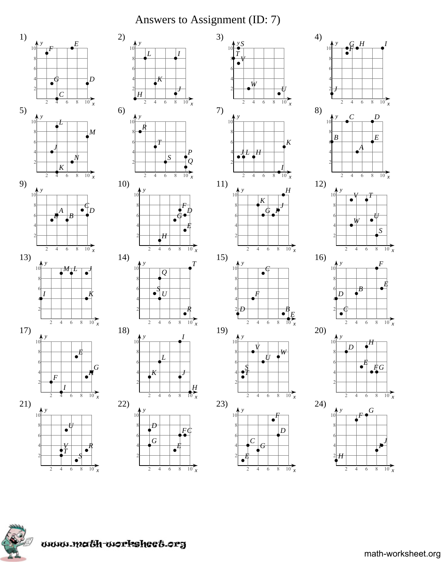# Answers to Assignment (ID: 7)







 $\frac{1}{10}$  x

 $\overline{2}$  $\overline{4}$  $\overline{6}$  $\sqrt{8}$ 



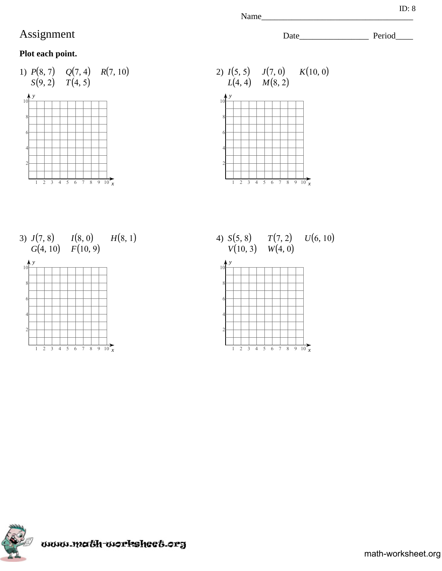## **Plot each point.**







4)  $S(5, 8)$   $T(7, 2)$  $V(10, 3)$   $W(4, 0)$  $U(6, 10)$ 



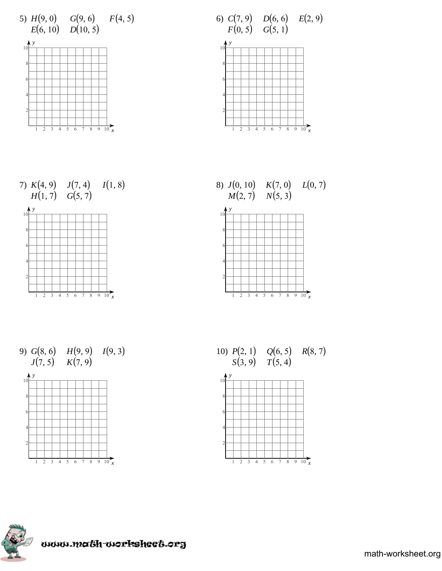



















math-worksheet.org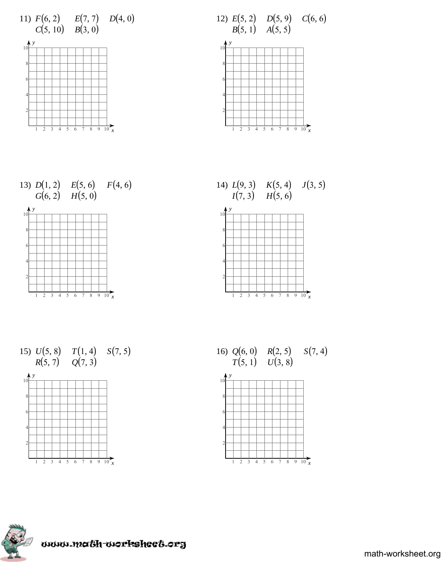

















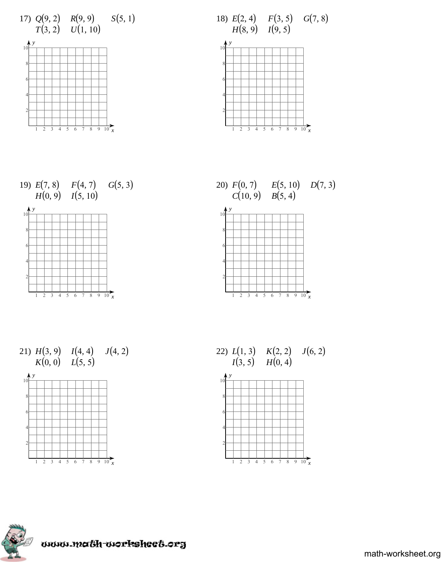

















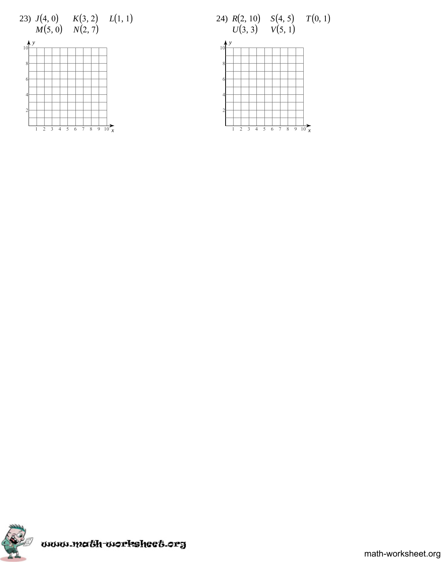





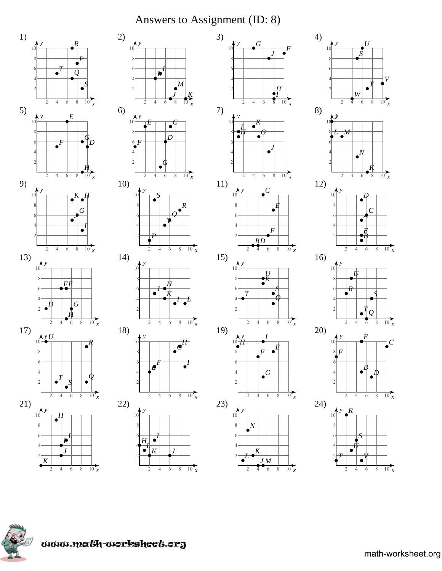# Answers to Assignment (ID: 8)

 $\overline{G}$ 

 $\overline{4}$  $\overline{6}$ 

⊀

 $\overline{4}$  $6\overline{6}$  $\overline{8}$ 

 $\cdot^C$ 

 $\bullet'$ 

 $\overline{F}$ 

D

 $\bullet^{\prime}_{\bullet}$ 

 $\bullet$ 

 $I M$ 

 $\overline{6}$  $\,8\,$ 

 $\overline{8}$ 

 $\bullet$ 

 $\bullet$ 

 $\mathfrak{D}$ 

 $\mathcal{L}$  $\overline{4}$  $\sqrt{6}$  $\,$   $\,$ 

 $\overline{2}$  $\overline{4}$  $\overline{6}$ 

 $\overline{\mathcal{L}}$ 

 $\sqrt{6}$  $\,8\,$ 

•7

 $\overrightarrow{10}_{x}$ 









www.math-worksheet.org

 $\overline{2}$  $\overline{4}$  $6\,$  $\sqrt{8}$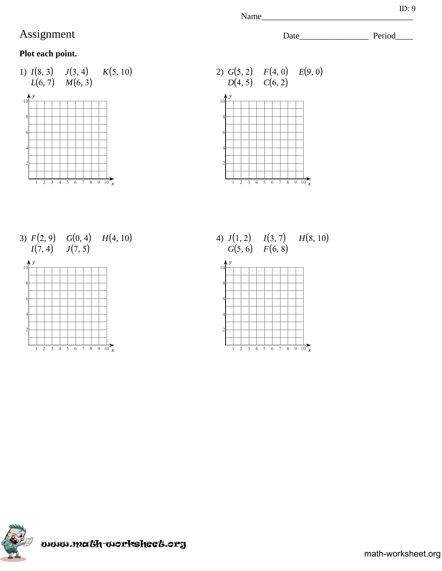## **Plot each point.**





3)  $F(2, 9)$   $G(0, 4)$   $H(4, 10)$  $I(7, 4)$  $J(7, 5)$ 



4)  $J(1, 2)$   $I(3, 7)$   $H(8, 10)$  $G(5, 6)$   $F(6, 8)$ 





Name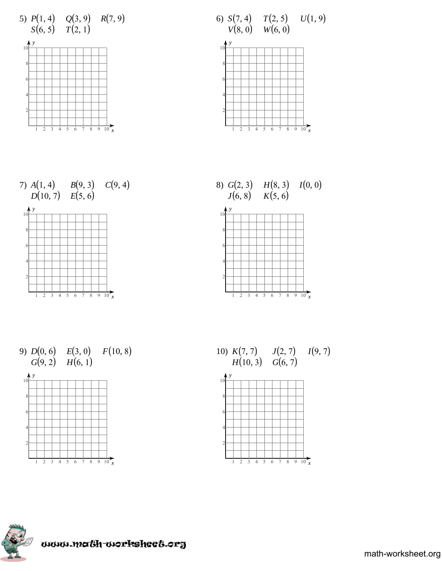









 $9) D(0, 6) E(3, 0)$  $G(9, 2)$   $H(6, 1)$  $F(10, 8)$ 



10)  $K(7, 7)$  $H(10, 3)$  *G*(6, 7)  $J(2, 7)$  $I(9, 7)$ 



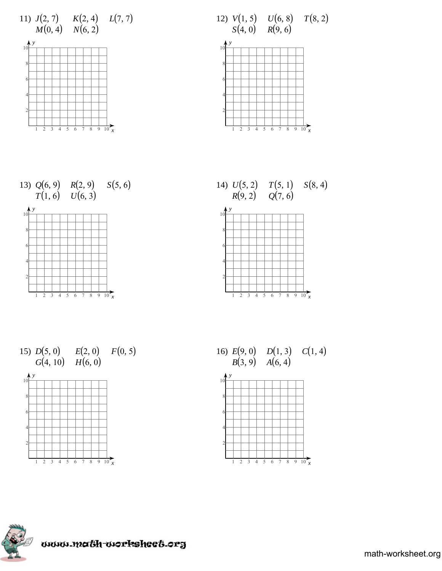

















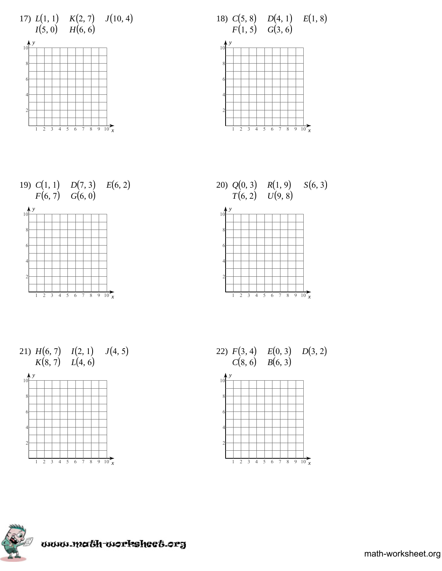













22)  $F(3, 4)$   $E(0, 3)$   $D(3, 2)$  $C(8, 6)$   $B(6, 3)$ 



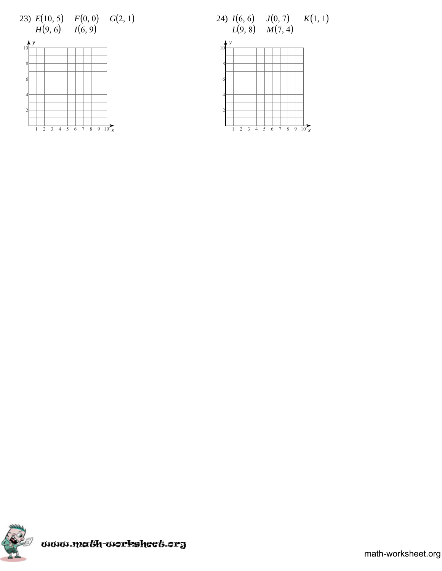





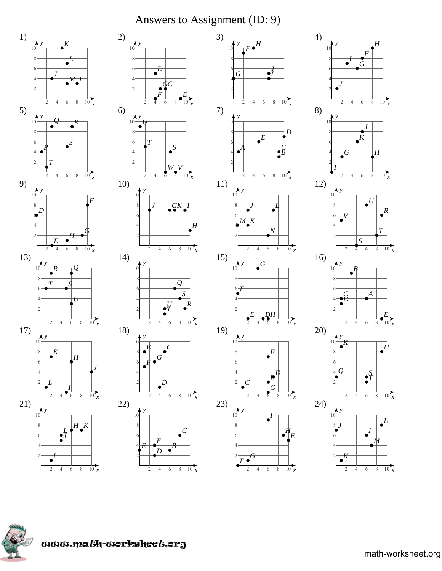# Answers to Assignment (ID: 9)







 $\frac{1}{10}$  x

 $\overline{2}$  $\overline{4}$  $\overline{6}$  $\sqrt{8}$ 



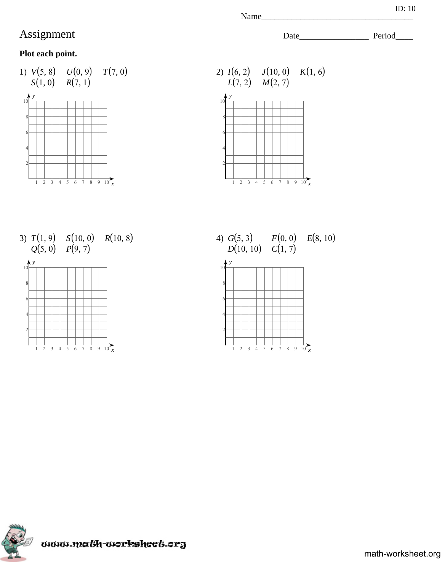## **Plot each point.**





3)  $T(1, 9)$   $S(10, 0)$   $R(10, 8)$  $Q(5, 0)$   $P(9, 7)$ 



4)  $G(5, 3)$   $F(0, 0)$   $E(8, 10)$  $D(10, 10)$   $C(1, 7)$ 





Name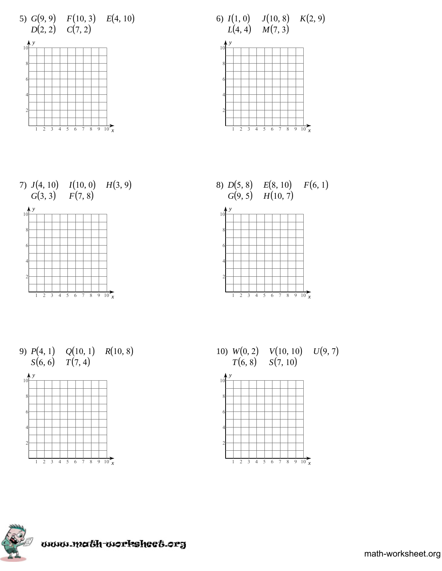

6)  $I(1, 0)$  $L(4, 4)$   $M(7, 3)$  $J(10, 8)$   $K(2, 9)$ 







 $1 \t2 \t3 \t4 \t5 \t6 \t7 \t8 \t9 \t10 \t x$ 

9)  $P(4, 1)$   $Q(10, 1)$   $R(10, 8)$  $S(6, 6)$   $T(7, 4)$ 



10)  $W(0, 2)$  $T(6, 8)$  $V(10, 10) \hspace{0.2in} U(9, 7) \ S(7, 10)$ 





www.math-worksheet.org

math-worksheet.org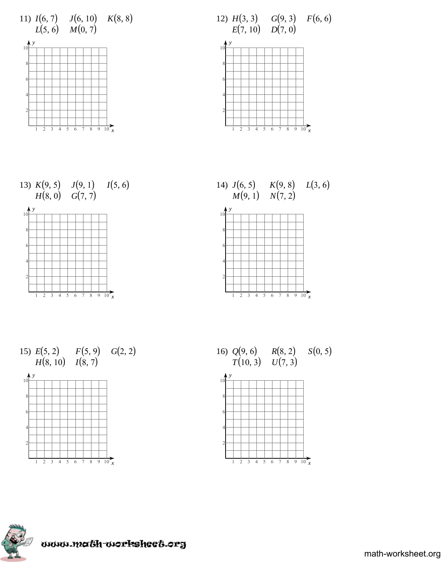









15)  $E(5, 2)$   $F(5, 9)$   $G(2, 2)$  $H(8, 10)$   $I(8, 7)$ 







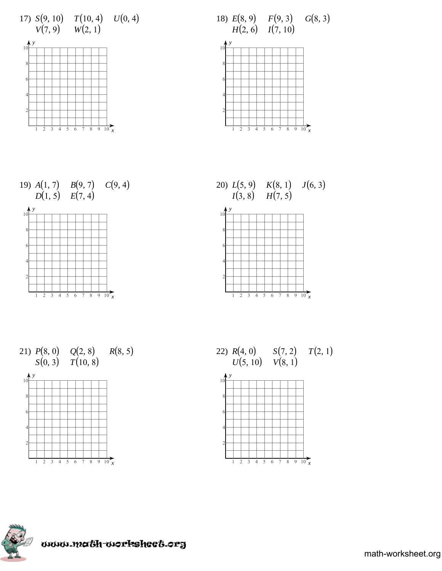









#### $P(8, 0)$   $Q(2, 8)$  $S(0, 3)$  $T(10, 8)$  $R(8, 5)$



22)  $R(4, 0)$  $U(5, 10) \quad V(8, 1)$  $S(7, 2)$  $T(2, 1)$ 



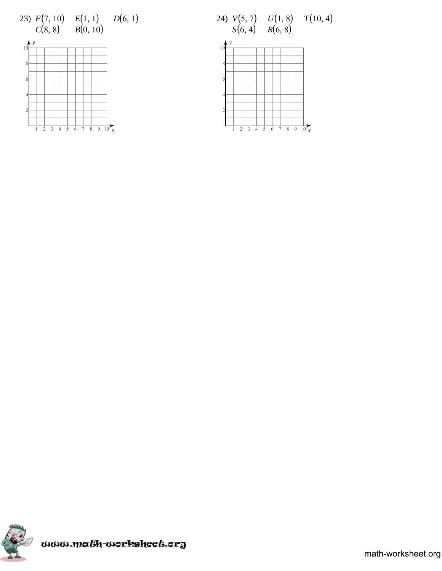